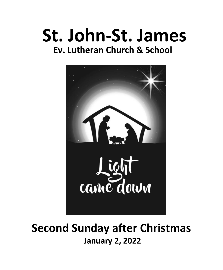# **St. John-St. James Ev. Lutheran Church & School**



# **Second Sunday after Christmas January 2, 2022**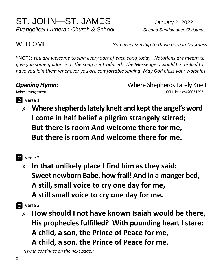WELCOME *God gives Sonship to those born in Darkness*

\*NOTE: *You are welcome to sing every part of each song today. Notations are meant to give you some guidance as the song is introduced. The Messengers would be thrilled to have you join them whenever you are comfortable singing. May God bless your worship!*

*Opening Hymn:* Where Shepherds Lately Knelt Koine arrangement CCLI License #20031593



 **Where shepherds lately knelt and kept the angel's word I come in half belief a pilgrim strangely stirred; But there is room And welcome there for me, But there is room And welcome there for me.**

# **Q** Verse 2

- **In that unlikely place I find him as they said: Sweet newborn Babe, how frail! And in a manger bed, A still, small voice to cry one day for me, A still small voice to cry one day for me.**
- **a** Verse 3
	- **How should I not have known Isaiah would be there, His prophecies fulfilled? With pounding heart I stare: A child, a son, the Prince of Peace for me,**

**A child, a son, the Prince of Peace for me.**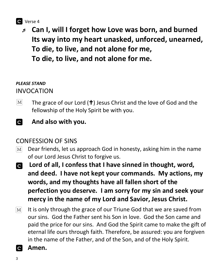

 **Can I, will I forget how Love was born, and burned Its way into my heart unasked, unforced, unearned, To die, to live, and not alone for me, To die, to live, and not alone for me.**

## *PLEASE STAND*

INVOCATION

- $\boxed{\text{M}}$ The grace of our Lord  $(\dagger)$  Jesus Christ and the love of God and the fellowship of the Holy Spirit be with you.
- C **And also with you.**

# CONFESSION OF SINS

- Dear friends, let us approach God in honesty, asking him in the name  $|M|$ of our Lord Jesus Christ to forgive us.
- **Lord of all, I confess that I have sinned in thought, word, and deed. I have not kept your commands. My actions, my words, and my thoughts have all fallen short of the perfection you deserve. I am sorry for my sin and seek your mercy in the name of my Lord and Savior, Jesus Christ.**
- It is only through the grace of our Triune God that we are saved from  $\overline{\mathbf{M}}$ our sins. God the Father sent his Son in love. God the Son came and paid the price for our sins. And God the Spirit came to make the gift of eternal life ours through faith. Therefore, be assured: you are forgiven in the name of the Father, and of the Son, and of the Holy Spirit.
- **Amen.**  $\mathbf{C}$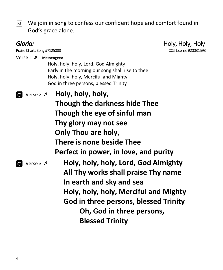We join in song to confess our confident hope and comfort found in  $M<sub>l</sub>$ God's grace alone.

# *Gloria:* Holy, Holy, Holy, Holy, Holy, Holy, Holy, Holy, Holy, Holy, Holy, Holy, Holy, Holy, Holy, Holy, Holy, Holy, Holy, Holy, Holy, Holy, Holy, Holy, Holy, Holy, Holy, Holy, Holy, Holy, Holy, Holy, Holy, Holy, Holy, Praise Charts Song #7125088 CCLI License #20031593 Holy, holy, holy, Lord, God Almighty Holy, holy, holy, Merciful and Mighty God in three persons, blessed Trinity Verse 2  **Holy, holy, holy, Though the darkness hide Thee Though the eye of sinful man Thy glory may not see Only Thou are holy,**

Verse 1  **Messengers:** 

Early in the morning our song shall rise to thee

 **There is none beside Thee Perfect in power, in love, and purity** Verse 3  **Holy, holy, holy, Lord, God Almighty All Thy works shall praise Thy name In earth and sky and sea Holy, holy, holy, Merciful and Mighty God in three persons, blessed Trinity Oh, God in three persons, Blessed Trinity**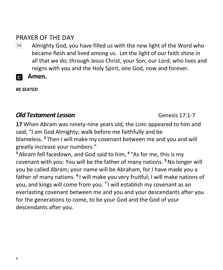# PRAYER OF THE DAY

 $|M|$ Almighty God, you have filled us with the new light of the Word who became flesh and lived among us. Let the light of our faith shine in all that we do; through Jesus Christ, your Son, our Lord, who lives and reigns with you and the Holy Spirit, one God, now and forever.

**Amen.**  $\mathbf{C}$ 

*BE SEATED*

# *Old Testament Lesson* **Constanting Constanting Constanting Constanting Constanting Constanting Constanting Constanting Constanting Constanting Constanting Constanting Constanting Constanting Constanting Constanting Cons**

**17** When Abram was ninety-nine years old, the LORD appeared to him and said, "I am God Almighty; walk before me faithfully and be blameless. **<sup>2</sup>** Then I will make my covenant between me and you and will greatly increase your numbers."

**<sup>3</sup>** Abram fell facedown, and God said to him, **<sup>4</sup>** "As for me, this is my covenant with you: You will be the father of many nations. **<sup>5</sup>**No longer will you be called Abram; your name will be Abraham, for I have made you a father of many nations. <sup>6</sup> I will make you very fruitful; I will make nations of you, and kings will come from you. **<sup>7</sup>** I will establish my covenant as an everlasting covenant between me and you and your descendants after you for the generations to come, to be your God and the God of your descendants after you.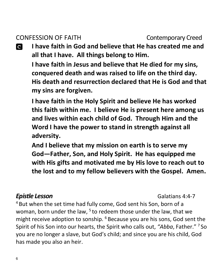CONFESSION OF FAITH Contemporary Creed

**I have faith in God and believe that He has created me and C all that I have. All things belong to Him.**

**I have faith in Jesus and believe that He died for my sins, conquered death and was raised to life on the third day. His death and resurrection declared that He is God and that my sins are forgiven.**

**I have faith in the Holy Spirit and believe He has worked this faith within me. I believe He is present here among us and lives within each child of God. Through Him and the Word I have the power to stand in strength against all adversity.**

**And I believe that my mission on earth is to serve my God—Father, Son, and Holy Spirit. He has equipped me with His gifts and motivated me by His love to reach out to the lost and to my fellow believers with the Gospel. Amen.**

**Epistle Lesson Contract Contract Contract Contract Contract Contract Contract Contract Contract Contract Contract Contract Contract Contract Contract Contract Contract Contract Contract Contract Contract Contract Contra** 

<sup>4</sup> But when the set time had fully come, God sent his Son, born of a woman, born under the law, <sup>5</sup> to redeem those under the law, that we might receive adoption to sonship. <sup>6</sup> Because you are his sons, God sent the Spirit of his Son into our hearts, the Spirit who calls out, *"Abba*, Father." 7 So you are no longer a slave, but God's child; and since you are his child, God has made you also an heir.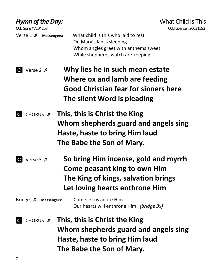| <b>Hymn of the Day:</b><br>CCLI Song #7104268 |                                                                                                                                                               | What Child Is This<br><b>CCLI License #20031593</b> |
|-----------------------------------------------|---------------------------------------------------------------------------------------------------------------------------------------------------------------|-----------------------------------------------------|
| Verse $1 \n\mathcal{I}$ Messengers:           | What child is this who laid to rest<br>On Mary's lap is sleeping<br>Whom angles greet with anthems sweet<br>While shepherds watch are keeping                 |                                                     |
| $C$ Verse 2 $\beta$                           | Why lies he in such mean estate<br>Where ox and lamb are feeding<br>Good Christian fear for sinners here<br>The silent Word is pleading                       |                                                     |
|                                               | <b>C</b> CHORUS <b>A</b> This, this is Christ the King<br>Whom shepherds guard and angels sing<br>Haste, haste to bring Him laud<br>The Babe the Son of Mary. |                                                     |
| $\bullet$ Verse 3 $\AA$                       | So bring Him incense, gold and myrrh<br><b>Come peasant king to own Him</b><br>The King of kings, salvation brings<br>Let loving hearts enthrone Him          |                                                     |
| Bridge $\sqrt{2}$<br><b>Messengers:</b>       | Come let us adore Him<br>Our hearts will enthrone Him (bridge 3x)                                                                                             |                                                     |
|                                               | CHORUS $\sqrt{2}$ This, this is Christ the King<br>Whom shepherds guard and angels sing<br>Haste, haste to bring Him laud<br>The Babe the Son of Mary.        |                                                     |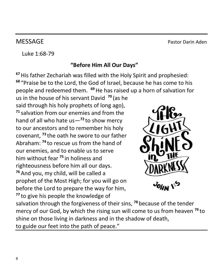MESSAGE Pastor Darin Aden

Luke 1:68-79

## **"Before Him All Our Days"**

**<sup>67</sup>**His father Zechariah was filled with the Holy Spirit and prophesied: **<sup>68</sup>** "Praise be to the Lord, the God of Israel, because he has come to his people and redeemed them. **<sup>69</sup>**He has raised up a horn of salvation for

us in the house of his servant David **<sup>70</sup>** (as he said through his holy prophets of long ago), **<sup>71</sup>** salvation from our enemies and from the hand of all who hate us—**<sup>72</sup>** to show mercy to our ancestors and to remember his holy covenant, **<sup>73</sup>** the oath he swore to our father Abraham: **<sup>74</sup>** to rescue us from the hand of our enemies, and to enable us to serve him without fear **<sup>75</sup>** in holiness and righteousness before him all our days. **<sup>76</sup>** And you, my child, will be called a prophet of the Most High; for you will go on before the Lord to prepare the way for him, **<sup>77</sup>** to give his people the knowledge of



salvation through the forgiveness of their sins, **<sup>78</sup>** because of the tender mercy of our God, by which the rising sun will come to us from heaven **<sup>79</sup>** to shine on those living in darkness and in the shadow of death, to guide our feet into the path of peace."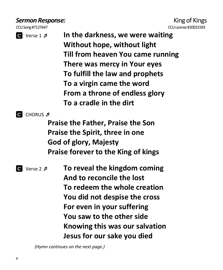# **Sermon Response: King of Kings**

CCLI Song#7127647 CCLI License #20031593

- 
- 

 Verse 1  **In the darkness, we were waiting Without hope, without light Till from heaven You came running There was mercy in Your eyes To fulfill the law and prophets To a virgin came the word From a throne of endless glory To a cradle in the dirt**

# **C** CHORUS *<b>*

**Praise the Father, Praise the Son Praise the Spirit, three in one God of glory, Majesty Praise forever to the King of kings**

 Verse 2  **To reveal the kingdom coming And to reconcile the lost To redeem the whole creation You did not despise the cross For even in your suffering You saw to the other side Knowing this was our salvation Jesus for our sake you died**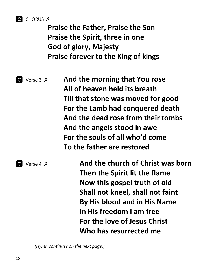

**Praise the Father, Praise the Son Praise the Spirit, three in one God of glory, Majesty Praise forever to the King of kings**

 Verse 3  **And the morning that You rose All of heaven held its breath Till that stone was moved for good For the Lamb had conquered death And the dead rose from their tombs And the angels stood in awe For the souls of all who'd come To the father are restored**

 Verse 4  **And the church of Christ was born Then the Spirit lit the flame Now this gospel truth of old Shall not kneel, shall not faint By His blood and in His Name In His freedom I am free For the love of Jesus Christ Who has resurrected me**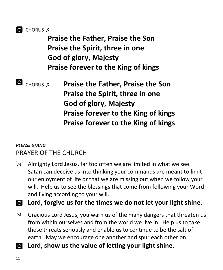### **C** CHORUS *<b>*

**Praise the Father, Praise the Son Praise the Spirit, three in one God of glory, Majesty Praise forever to the King of kings**

 CHORUS  **Praise the Father, Praise the Son Praise the Spirit, three in one God of glory, Majesty Praise forever to the King of kings Praise forever to the King of kings**

# *PLEASE STAND* PRAYER OF THE CHURCH

- $\mathbf{M}$ Almighty Lord Jesus, far too often we are limited in what we see. Satan can deceive us into thinking your commands are meant to limit our enjoyment of life or that we are missing out when we follow your will. Help us to see the blessings that come from following your Word and living according to your will.
- **Lord, forgive us for the times we do not let your light shine.**
- $\lceil \text{M} \rceil$ Gracious Lord Jesus, you warn us of the many dangers that threaten us from within ourselves and from the world we live in. Help us to take those threats seriously and enable us to continue to be the salt of earth. May we encourage one another and spur each other on.
- $\overline{c}$ **Lord, show us the value of letting your light shine.**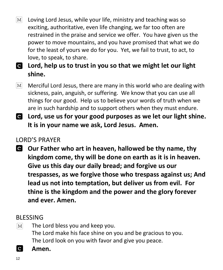- $|M|$ Loving Lord Jesus, while your life, ministry and teaching was so exciting, authoritative, even life changing, we far too often are restrained in the praise and service we offer. You have given us the power to move mountains, and you have promised that what we do for the least of yours we do for you. Yet, we fail to trust, to act, to love, to speak, to share.
- **Lord, help us to trust in you so that we might let our light shine.**
- Merciful Lord Jesus, there are many in this world who are dealing with  $[M]$ sickness, pain, anguish, or suffering. We know that you can use all things for our good. Help us to believe your words of truth when we are in such hardship and to support others when they must endure.
- **Lord, use us for your good purposes as we let our light shine. It is in your name we ask, Lord Jesus. Amen.**

# LORD'S PRAYER

**Our Father who art in heaven, hallowed be thy name, thy kingdom come, thy will be done on earth as it is in heaven. Give us this day our daily bread; and forgive us our trespasses, as we forgive those who trespass against us; And lead us not into temptation, but deliver us from evil. For thine is the kingdom and the power and the glory forever and ever. Amen.**

# BLESSING

- $\lceil \text{M} \rceil$ The Lord bless you and keep you. The Lord make his face shine on you and be gracious to you. The Lord look on you with favor and give you peace.
- $\mathbf{C}$ **Amen.**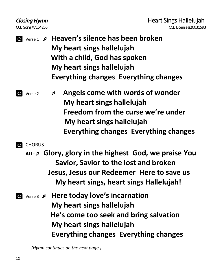- 
- Verse 1 **Heaven's silence has been broken My heart sings hallelujah With a child, God has spoken My heart sings hallelujah Everything changes Everything changes**
- Verse 2 **Angels come with words of wonder My heart sings hallelujah Freedom from the curse we're under My heart sings hallelujah Everything changes Everything changes**

# C CHORUS

- **ALL: Glory, glory in the highest God, we praise You Savior, Savior to the lost and broken Jesus, Jesus our Redeemer Here to save us My heart sings, heart sings Hallelujah!**
- Verse 3 **Here today love's incarnation My heart sings hallelujah He's come too seek and bring salvation My heart sings hallelujah Everything changes Everything changes**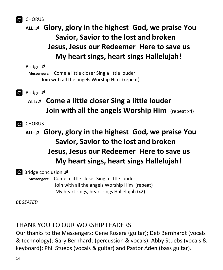### C CHORUS

# **ALL: Glory, glory in the highest God, we praise You Savior, Savior to the lost and broken Jesus, Jesus our Redeemer Here to save us My heart sings, heart sings Hallelujah!**

Bridge 

 **Messengers:** Come a little closer Sing a little louder Join with all the angels Worship Him (repeat)

# **a** Bridge  $\beta$

- **ALL: Come a little closer Sing a little louder Join with all the angels Worship Him** (repeat x4)
- **C** CHORUS

# **ALL: Glory, glory in the highest God, we praise You Savior, Savior to the lost and broken Jesus, Jesus our Redeemer Here to save us My heart sings, heart sings Hallelujah!**

**C** Bridge conclusion  $\sqrt{ }$ 

 **Messengers:** Come a little closer Sing a little louder Join with all the angels Worship Him (repeat) My heart sings, heart sings Hallelujah (x2)

*BE SEATED*

# THANK YOU TO OUR WORSHIP LEADERS

Our thanks to the Messengers: Gene Rosera (guitar); Deb Bernhardt (vocals & technology); Gary Bernhardt (percussion & vocals); Abby Stuebs (vocals & keyboard); Phil Stuebs (vocals & guitar) and Pastor Aden (bass guitar).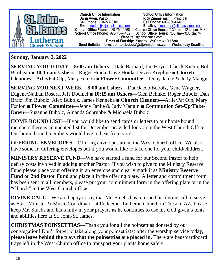

 **Church Office Information School Office Information Rick Zimmermann, Principal<br>Cell Phone: 608-350-6646 Cell Phone:** 920-277-0101<br>**Email:** daden@stjohnstjames.com  **Email:** [daden@stjohnstjames.com](mailto:daden@stjohnstjames.com) **Email:** rzimmerman@stjohnstjames.com **Church Office Phone:** 920-754-4568 **Church Office Hours:** 7:30 am—12:30 pm, M-F **School Office Hours: 7:30 am—3:00 pm, M-F Website:** stjohnstjames.com **Times of Worship:** Sunday—8:00am & 10:15am **Send Bulletin Information to cbubolz@stjohnstjames.com—Wednesday Deadline**

**Sunday, January 2, 2022**

**SERVING YOU TODAY**—**8:00 am Ushers—**Dale Barnard, Joe Hoyer, Chuck Kiehn, Bob Baribeau ■ **10:15 am Ushers—**Roger Hoida, Dave Hoida, Deven Krepline **■ Church Cleaners—**Arlie/Pat Olp, Mary Fenlon ■ **Flower Committee—**Jenny Janke & Judy Mangin.

**SERVING YOU NEXT WEEK—8:00 am Ushers—**Dan/Jacob Bubolz, Gene Wagner, Eugene/Nathan Rosera, Jeff Doemel ■ **10:15 am Ushers—**Glen Behnke, Roger Bubolz, Dan Bratz, Jim Bubolz, Alex Bubolz, James Kenneke **■ Church Cleaners—**Arlie/Pat Olp, Mary Fenlon ■ **Flower Committee—**Jenny Janke & Judy Mangin **■ Communion Set-Up/Take-Down—**Suzanne Bubolz, Amanda Schrubbe & Michaela Bubolz.

**HOME BOUND LIST—**If you would like to send cards or letters to our home bound members there is an updated list for December provided for you in the West Church Office. Our home-bound members would love to hear from you!

**OFFERING ENVELOPES—**Offering envelopes are in the West Church office. We also have some Jr. Offering envelopes out if you would like to take one for your child/children.

**MINISTRY RESERVE FUND**—We have started a fund for our Second Pastor to help defray costs involved in adding another Pastor. If you wish to give to the Ministry Reserve Fund please place your offering in an envelope and clearly mark it as **Ministry Reserve Fund or 2nd Pastor Fund** and place it in the offering plate. A letter and commitment form has been sent to all members, please put your commitment form in the offering plate or in the "Church" in the West Church office.

**DIVINE CALL—We are happy to say that Mr. Stuebs has returned his divine call to serve** as Staff Minister & Music Coordinator at Redeemer Lutheran Church in Tucson, AZ. Please keep Mr. Stuebs and his family in your prayers as he continues to use his God given talents and abilities here at St. John-St. James.

**CHRISTMAS POINSETTIAS—**Thank you for all the poinsettias donated by our congregation! Don't forget to take along your poinsettia(s) after the worship service today, **please leave behind the trays that the poinsettias are placed in.** There are bags/cardboard trays left in the West Church office to transport your plants home safely.